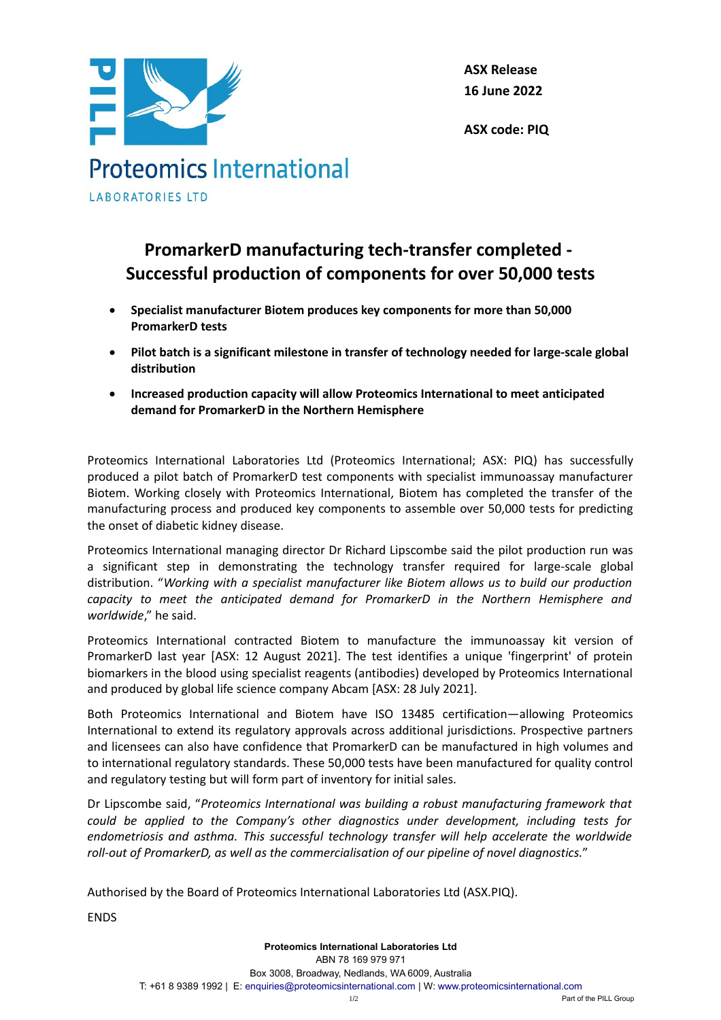

**ASX Release 16 June 2022**

**ASX code: PIQ**

## **PromarkerD manufacturing tech-transfer completed - Successful production of components for over 50,000 tests**

- **Specialist manufacturer Biotem produces key components for more than 50,000 PromarkerD tests**
- **Pilot batch is a significant milestone in transfer of technology needed for large-scale global distribution**
- **Increased production capacity will allow Proteomics International to meet anticipated demand for PromarkerD in the Northern Hemisphere**

Proteomics International Laboratories Ltd (Proteomics International; ASX: PIQ) has successfully produced a pilot batch of PromarkerD test components with specialist immunoassay manufacturer Biotem. Working closely with Proteomics International, Biotem has completed the transfer of the manufacturing process and produced key components to assemble over 50,000 tests for predicting the onset of diabetic kidney disease.

Proteomics International managing director Dr Richard Lipscombe said the pilot production run was a significant step in demonstrating the technology transfer required for large-scale global distribution. "*Working with a specialist manufacturer like Biotem allows us to build our production capacity to meet the anticipated demand for PromarkerD in the Northern Hemisphere and worldwide*," he said.

Proteomics International contracted Biotem to manufacture the immunoassay kit version of PromarkerD last year [ASX: 12 August 2021]. The test identifies a unique 'fingerprint' of protein biomarkers in the blood using specialist reagents (antibodies) developed by Proteomics International and produced by global life science company Abcam [ASX: 28 July 2021].

Both Proteomics International and Biotem have ISO 13485 certification—allowing Proteomics International to extend its regulatory approvals across additional jurisdictions. Prospective partners and licensees can also have confidence that PromarkerD can be manufactured in high volumes and to international regulatory standards. These 50,000 tests have been manufactured for quality control and regulatory testing but will form part of inventory for initial sales.

Dr Lipscombe said, "*Proteomics International was building a robust manufacturing framework that could be applied to the Company's other diagnostics under development, including tests for endometriosis and asthma. This successful technology transfer will help accelerate the worldwide roll-out of PromarkerD, as well as the commercialisation of our pipeline of novel diagnostics.*"

Authorised by the Board of Proteomics International Laboratories Ltd (ASX.PIQ).

ENDS